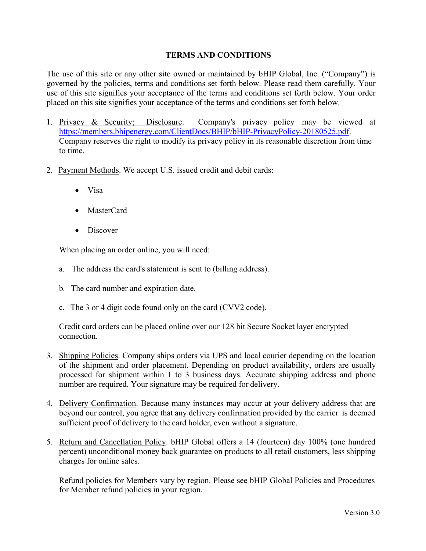## **TERMS AND CONDITIONS**

The use of this site or any other site owned or maintained by bHIP Global, Inc. ("Company") is governed by the policies, terms and conditions set forth below. Please read them carefully. Your use of this site signifies your acceptance of the terms and conditions set forth below. Your order placed on this site signifies your acceptance of the terms and conditions set forth below.

- 1. Privacy & Security; Disclosure. Company's privacy policy may be viewed at [https://members.bhipenergy.com/ClientDocs/BHIP/bHIP-PrivacyPolicy-20180525.pdf.](https://members.bhipenergy.com/ClientDocs/BHIP/bHIP-PrivacyPolicy-20180525.pdf) Company reserves the right to modify its privacy policy in its reasonable discretion from time to time.
- 2. Payment Methods. We accept U.S. issued credit and debit cards:
	- Visa
	- MasterCard
	- Discover

When placing an order online, you will need:

- a. The address the card's statement is sent to (billing address).
- b. The card number and expiration date.
- c. The 3 or 4 digit code found only on the card (CVV2 code).

Credit card orders can be placed online over our 128 bit Secure Socket layer encrypted connection.

- 3. Shipping Policies. Company ships orders via UPS and local courier depending on the location of the shipment and order placement. Depending on product availability, orders are usually processed for shipment within 1 to 3 business days. Accurate shipping address and phone number are required. Your signature may be required for delivery.
- 4. Delivery Confirmation. Because many instances may occur at your delivery address that are beyond our control, you agree that any delivery confirmation provided by the carrier is deemed sufficient proof of delivery to the card holder, even without a signature.
- 5. Return and Cancellation Policy. bHIP Global offers a 14 (fourteen) day 100% (one hundred percent) unconditional money back guarantee on products to all retail customers, less shipping charges for online sales.

Refund policies for Members vary by region. Please see bHIP Global Policies and Procedures for Member refund policies in your region.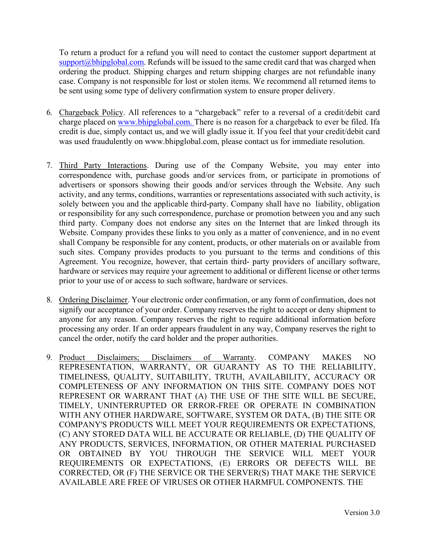To return a product for a refund you will need to contact the customer support department at  $support@bhipglobal.com$ . Refunds will be issued to the same credit card that was charged when ordering the product. Shipping charges and return shipping charges are not refundable inany case. Company is not responsible for lost or stolen items. We recommend all returned items to be sent using some type of delivery confirmation system to ensure proper delivery.

- 6. Chargeback Policy. All references to a "chargeback" refer to a reversal of a credit/debit card charge placed on [www.bhipglobal.com. There i](http://www.bhipglobal.com.there/)s no reason for a chargeback to ever be filed. Ifa credit is due, simply contact us, and we will gladly issue it. If you feel that your credit/debit card was used fraudulently on [www.bhipglobal.com,](http://www.bhipglobal.com/) please contact us for immediate resolution.
- 7. Third Party Interactions. During use of the Company Website, you may enter into correspondence with, purchase goods and/or services from, or participate in promotions of advertisers or sponsors showing their goods and/or services through the Website. Any such activity, and any terms, conditions, warranties or representations associated with such activity, is solely between you and the applicable third-party. Company shall have no liability, obligation or responsibility for any such correspondence, purchase or promotion between you and any such third party. Company does not endorse any sites on the Internet that are linked through its Website. Company provides these links to you only as a matter of convenience, and in no event shall Company be responsible for any content, products, or other materials on or available from such sites. Company provides products to you pursuant to the terms and conditions of this Agreement. You recognize, however, that certain third- party providers of ancillary software, hardware or services may require your agreement to additional or different license or other terms prior to your use of or access to such software, hardware or services.
- 8. Ordering Disclaimer. Your electronic order confirmation, or any form of confirmation, does not signify our acceptance of your order. Company reserves the right to accept or deny shipment to anyone for any reason. Company reserves the right to require additional information before processing any order. If an order appears fraudulent in any way, Company reserves the right to cancel the order, notify the card holder and the proper authorities.
- 9. Product Disclaimers; Disclaimers of Warranty. COMPANY MAKES NO REPRESENTATION, WARRANTY, OR GUARANTY AS TO THE RELIABILITY, TIMELINESS, QUALITY, SUITABILITY, TRUTH, AVAILABILITY, ACCURACY OR COMPLETENESS OF ANY INFORMATION ON THIS SITE. COMPANY DOES NOT REPRESENT OR WARRANT THAT (A) THE USE OF THE SITE WILL BE SECURE, TIMELY, UNINTERRUPTED OR ERROR-FREE OR OPERATE IN COMBINATION WITH ANY OTHER HARDWARE, SOFTWARE, SYSTEM OR DATA, (B) THE SITE OR COMPANY'S PRODUCTS WILL MEET YOUR REQUIREMENTS OR EXPECTATIONS, (C) ANY STORED DATA WILL BE ACCURATE OR RELIABLE, (D) THE QUALITY OF ANY PRODUCTS, SERVICES, INFORMATION, OR OTHER MATERIAL PURCHASED OR OBTAINED BY YOU THROUGH THE SERVICE WILL MEET YOUR REQUIREMENTS OR EXPECTATIONS, (E) ERRORS OR DEFECTS WILL BE CORRECTED, OR (F) THE SERVICE OR THE SERVER(S) THAT MAKE THE SERVICE AVAILABLE ARE FREE OF VIRUSES OR OTHER HARMFUL COMPONENTS. THE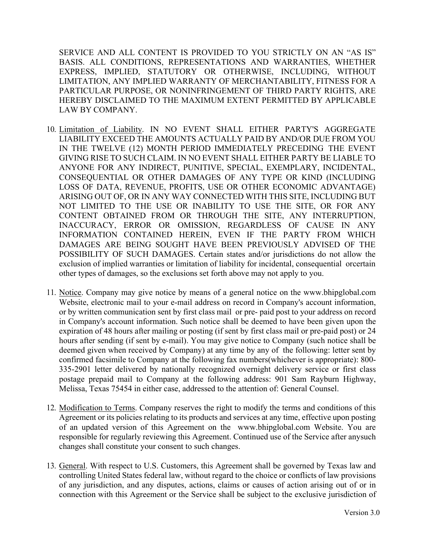SERVICE AND ALL CONTENT IS PROVIDED TO YOU STRICTLY ON AN "AS IS" BASIS. ALL CONDITIONS, REPRESENTATIONS AND WARRANTIES, WHETHER EXPRESS, IMPLIED, STATUTORY OR OTHERWISE, INCLUDING, WITHOUT LIMITATION, ANY IMPLIED WARRANTY OF MERCHANTABILITY, FITNESS FOR A PARTICULAR PURPOSE, OR NONINFRINGEMENT OF THIRD PARTY RIGHTS, ARE HEREBY DISCLAIMED TO THE MAXIMUM EXTENT PERMITTED BY APPLICABLE LAW BY COMPANY.

- 10. Limitation of Liability. IN NO EVENT SHALL EITHER PARTY'S AGGREGATE LIABILITY EXCEED THE AMOUNTS ACTUALLY PAID BY AND/OR DUE FROM YOU IN THE TWELVE (12) MONTH PERIOD IMMEDIATELY PRECEDING THE EVENT GIVING RISE TO SUCH CLAIM. IN NO EVENT SHALL EITHER PARTY BE LIABLE TO ANYONE FOR ANY INDIRECT, PUNITIVE, SPECIAL, EXEMPLARY, INCIDENTAL, CONSEQUENTIAL OR OTHER DAMAGES OF ANY TYPE OR KIND (INCLUDING LOSS OF DATA, REVENUE, PROFITS, USE OR OTHER ECONOMIC ADVANTAGE) ARISING OUT OF, OR IN ANY WAY CONNECTED WITH THIS SITE, INCLUDING BUT NOT LIMITED TO THE USE OR INABILITY TO USE THE SITE, OR FOR ANY CONTENT OBTAINED FROM OR THROUGH THE SITE, ANY INTERRUPTION, INACCURACY, ERROR OR OMISSION, REGARDLESS OF CAUSE IN ANY INFORMATION CONTAINED HEREIN, EVEN IF THE PARTY FROM WHICH DAMAGES ARE BEING SOUGHT HAVE BEEN PREVIOUSLY ADVISED OF THE POSSIBILITY OF SUCH DAMAGES. Certain states and/or jurisdictions do not allow the exclusion of implied warranties or limitation of liability for incidental, consequential orcertain other types of damages, so the exclusions set forth above may not apply to you.
- 11. Notice. Company may give notice by means of a general notice on the [www.bhipglobal.com](http://www.bhipglobal.com/) Website, electronic mail to your e-mail address on record in Company's account information, or by written communication sent by first class mail or pre- paid post to your address on record in Company's account information. Such notice shall be deemed to have been given upon the expiration of 48 hours after mailing or posting (if sent by first class mail or pre-paid post) or 24 hours after sending (if sent by e-mail). You may give notice to Company (such notice shall be deemed given when received by Company) at any time by any of the following: letter sent by confirmed facsimile to Company at the following fax numbers(whichever is appropriate): 800- 335-2901 letter delivered by nationally recognized overnight delivery service or first class postage prepaid mail to Company at the following address: 901 Sam Rayburn Highway, Melissa, Texas 75454 in either case, addressed to the attention of: General Counsel.
- 12. Modification to Terms. Company reserves the right to modify the terms and conditions of this Agreement or its policies relating to its products and services at any time, effective upon posting of an updated version of this Agreement on the [www.bhipglobal.com W](http://www.bhipglobal.com/)ebsite. You are responsible for regularly reviewing this Agreement. Continued use of the Service after any such changes shall constitute your consent to such changes.
- 13. General. With respect to U.S. Customers, this Agreement shall be governed by Texas law and controlling United States federal law, without regard to the choice or conflicts of law provisions of any jurisdiction, and any disputes, actions, claims or causes of action arising out of or in connection with this Agreement or the Service shall be subject to the exclusive jurisdiction of